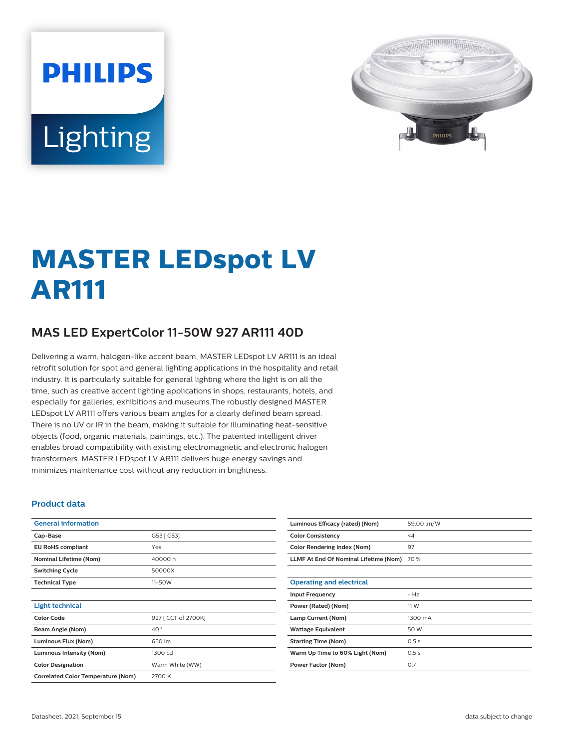# **PHILIPS** Lighting



## **MASTER LEDspot LV AR111**

### **MAS LED ExpertColor 11-50W 927 AR111 40D**

Delivering a warm, halogen-like accent beam, MASTER LEDspot LV AR111 is an ideal retrofit solution for spot and general lighting applications in the hospitality and retail industry. It is particularly suitable for general lighting where the light is on all the time, such as creative accent lighting applications in shops, restaurants, hotels, and especially for galleries, exhibitions and museums.The robustly designed MASTER LEDspot LV AR111 offers various beam angles for a clearly defined beam spread. There is no UV or IR in the beam, making it suitable for illuminating heat-sensitive objects (food, organic materials, paintings, etc.). The patented intelligent driver enables broad compatibility with existing electromagnetic and electronic halogen transformers. MASTER LEDspot LV AR111 delivers huge energy savings and minimizes maintenance cost without any reduction in brightness.

#### **Product data**

| <b>General information</b>                |                     |
|-------------------------------------------|---------------------|
|                                           |                     |
| Cap-Base                                  | G53 [ G53]          |
| <b>EU RoHS compliant</b>                  | Yes                 |
| <b>Nominal Lifetime (Nom)</b>             | 40000 h             |
| <b>Switching Cycle</b>                    | 50000X              |
| <b>Technical Type</b>                     | $11 - 50W$          |
|                                           |                     |
| <b>Light technical</b>                    |                     |
| <b>Color Code</b>                         | 927 [ CCT of 2700K] |
| Beam Angle (Nom)                          | 40°                 |
| Luminous Flux (Nom)                       | 650 lm              |
| <b>Luminous Intensity (Nom)</b>           | 1300 cd             |
| <b>Color Designation</b>                  | Warm White (WW)     |
| <b>Correlated Color Temperature (Nom)</b> | 2700 K              |

| Luminous Efficacy (rated) (Nom)       | 59.00 lm/W |
|---------------------------------------|------------|
| <b>Color Consistency</b>              | $\leq$ 4   |
| <b>Color Rendering Index (Nom)</b>    | 97         |
| LLMF At End Of Nominal Lifetime (Nom) | 70 %       |
|                                       |            |
| <b>Operating and electrical</b>       |            |
| <b>Input Frequency</b>                | $- Hz$     |
| Power (Rated) (Nom)                   | 11 W       |
| Lamp Current (Nom)                    | 1300 mA    |
| <b>Wattage Equivalent</b>             | 50 W       |
| <b>Starting Time (Nom)</b>            | 0.5s       |
| Warm Up Time to 60% Light (Nom)       | 0.5s       |
| Power Factor (Nom)                    | 0.7        |
|                                       |            |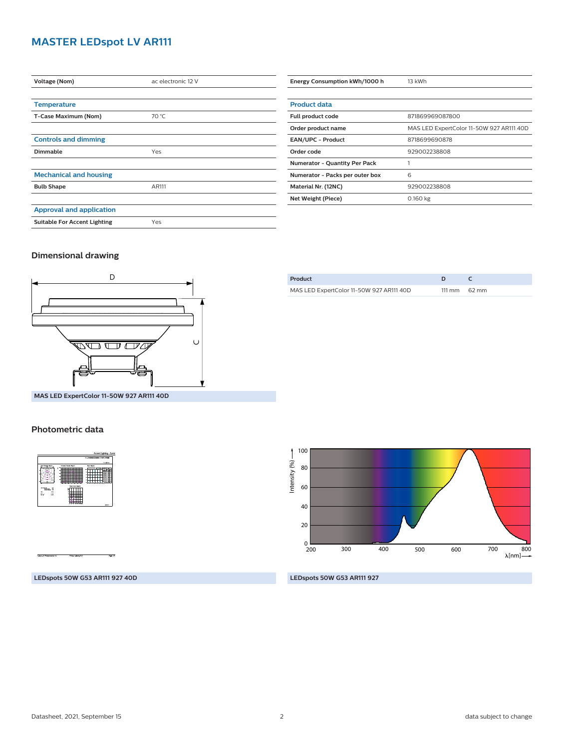#### **MASTER LEDspot LV AR111**

| Voltage (Nom)                       | ac electronic 12 V |
|-------------------------------------|--------------------|
|                                     |                    |
| <b>Temperature</b>                  |                    |
| T-Case Maximum (Nom)                | 70 °C              |
|                                     |                    |
| <b>Controls and dimming</b>         |                    |
| Dimmable                            | Yes                |
|                                     |                    |
| <b>Mechanical and housing</b>       |                    |
| <b>Bulb Shape</b>                   | AR111              |
|                                     |                    |
| <b>Approval and application</b>     |                    |
| <b>Suitable For Accent Lighting</b> | Yes                |
|                                     |                    |

| Energy Consumption kWh/1000 h        | 13 kWh                                   |
|--------------------------------------|------------------------------------------|
|                                      |                                          |
| <b>Product data</b>                  |                                          |
| Full product code                    | 871869969087800                          |
| Order product name                   | MAS LED ExpertColor 11-50W 927 AR111 40D |
| <b>EAN/UPC - Product</b>             | 8718699690878                            |
| Order code                           | 929002238808                             |
| <b>Numerator - Quantity Per Pack</b> |                                          |
| Numerator - Packs per outer box      | 6                                        |
| Material Nr. (12NC)                  | 929002238808                             |
| Net Weight (Piece)                   | 0.160 kg                                 |
|                                      |                                          |

#### **Dimensional drawing**



| Product                                  |                        |
|------------------------------------------|------------------------|
| MAS LED ExpertColor 11-50W 927 AR111 40D | $111 \text{ mm}$ 62 mm |
|                                          |                        |

**MAS LED ExpertColor 11-50W 927 AR111 40D**

#### **Photometric data**



100 Intensity  $(96)$  — Intensity (%) 80 60 40 20  $_{\frac{0}{200}}$ 700 800 200 300 400 500 600  $\lambda$ [nm] $-$ 

**LEDspots 50W G53 AR111 927 40D**

**LEDspots 50W G53 AR111 927**